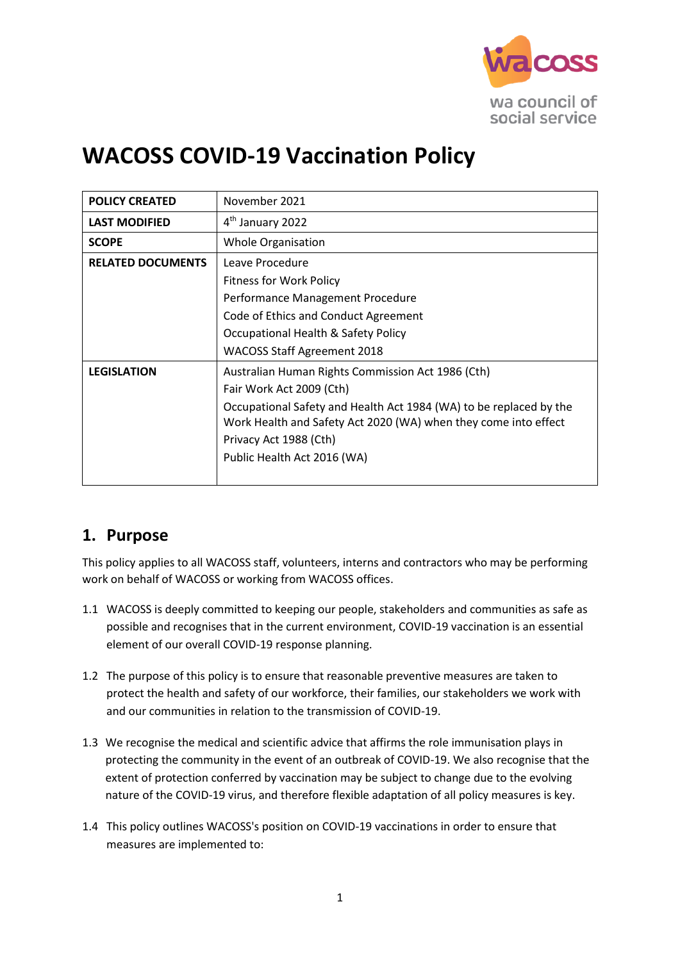

# **WACOSS COVID-19 Vaccination Policy**

| <b>POLICY CREATED</b>    | November 2021                                                      |  |  |  |
|--------------------------|--------------------------------------------------------------------|--|--|--|
| <b>LAST MODIFIED</b>     | 4 <sup>th</sup> January 2022                                       |  |  |  |
| <b>SCOPE</b>             | <b>Whole Organisation</b>                                          |  |  |  |
| <b>RELATED DOCUMENTS</b> | Leave Procedure                                                    |  |  |  |
|                          | <b>Fitness for Work Policy</b>                                     |  |  |  |
|                          | Performance Management Procedure                                   |  |  |  |
|                          | Code of Ethics and Conduct Agreement                               |  |  |  |
|                          | Occupational Health & Safety Policy                                |  |  |  |
|                          | <b>WACOSS Staff Agreement 2018</b>                                 |  |  |  |
| <b>LEGISLATION</b>       | Australian Human Rights Commission Act 1986 (Cth)                  |  |  |  |
|                          | Fair Work Act 2009 (Cth)                                           |  |  |  |
|                          | Occupational Safety and Health Act 1984 (WA) to be replaced by the |  |  |  |
|                          | Work Health and Safety Act 2020 (WA) when they come into effect    |  |  |  |
|                          | Privacy Act 1988 (Cth)                                             |  |  |  |
|                          | Public Health Act 2016 (WA)                                        |  |  |  |
|                          |                                                                    |  |  |  |

#### **1. Purpose**

This policy applies to all WACOSS staff, volunteers, interns and contractors who may be performing work on behalf of WACOSS or working from WACOSS offices.

- 1.1 WACOSS is deeply committed to keeping our people, stakeholders and communities as safe as possible and recognises that in the current environment, COVID-19 vaccination is an essential element of our overall COVID-19 response planning.
- 1.2 The purpose of this policy is to ensure that reasonable preventive measures are taken to protect the health and safety of our workforce, their families, our stakeholders we work with and our communities in relation to the transmission of COVID-19.
- 1.3 We recognise the medical and scientific advice that affirms the role immunisation plays in protecting the community in the event of an outbreak of COVID-19. We also recognise that the extent of protection conferred by vaccination may be subject to change due to the evolving nature of the COVID-19 virus, and therefore flexible adaptation of all policy measures is key.
- 1.4 This policy outlines WACOSS's position on COVID-19 vaccinations in order to ensure that measures are implemented to: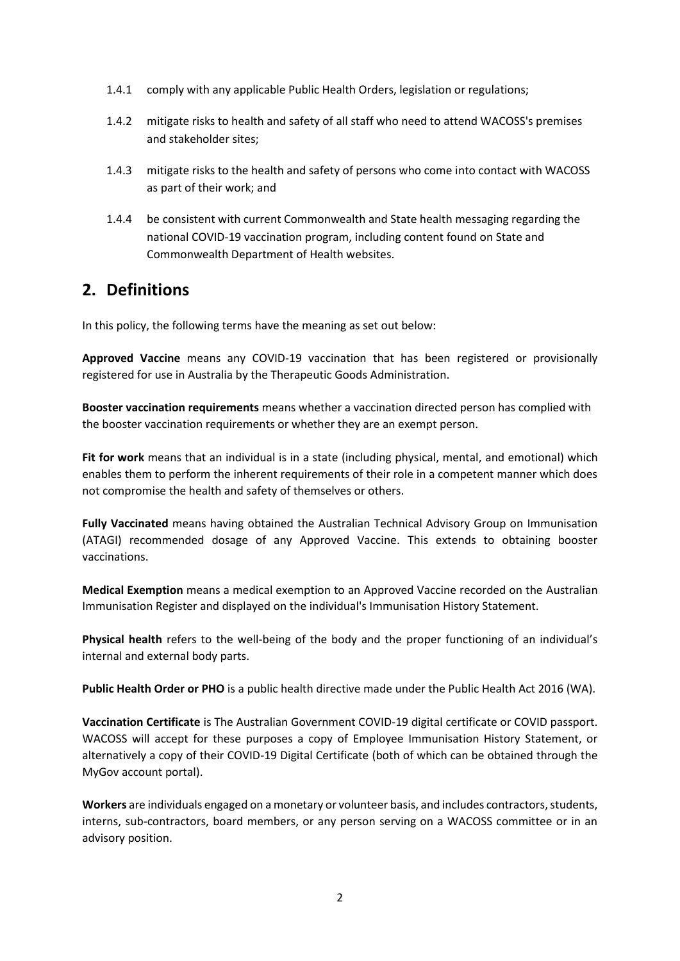- 1.4.1 comply with any applicable Public Health Orders, legislation or regulations;
- 1.4.2 mitigate risks to health and safety of all staff who need to attend WACOSS's premises and stakeholder sites;
- 1.4.3 mitigate risks to the health and safety of persons who come into contact with WACOSS as part of their work; and
- 1.4.4 be consistent with current Commonwealth and State health messaging regarding the national COVID-19 vaccination program, including content found on State and Commonwealth Department of Health websites.

#### **2. Definitions**

In this policy, the following terms have the meaning as set out below:

**Approved Vaccine** means any COVID-19 vaccination that has been registered or provisionally registered for use in Australia by the Therapeutic Goods Administration.

**Booster vaccination requirements** means whether a vaccination directed person has complied with the booster vaccination requirements or whether they are an exempt person.

**Fit for work** means that an individual is in a state (including physical, mental, and emotional) which enables them to perform the inherent requirements of their role in a competent manner which does not compromise the health and safety of themselves or others.

**Fully Vaccinated** means having obtained the Australian Technical Advisory Group on Immunisation (ATAGI) recommended dosage of any Approved Vaccine. This extends to obtaining booster vaccinations.

**Medical Exemption** means a medical exemption to an Approved Vaccine recorded on the Australian Immunisation Register and displayed on the individual's Immunisation History Statement.

**Physical health** refers to the well-being of the body and the proper functioning of an individual's internal and external body parts.

**Public Health Order or PHO** is a public health directive made under the Public Health Act 2016 (WA).

**Vaccination Certificate** is The Australian Government COVID-19 digital certificate or COVID passport. WACOSS will accept for these purposes a copy of Employee Immunisation History Statement, or alternatively a copy of their COVID-19 Digital Certificate (both of which can be obtained through the MyGov account portal).

**Workers** are individuals engaged on a monetary or volunteer basis, and includes contractors, students, interns, sub-contractors, board members, or any person serving on a WACOSS committee or in an advisory position.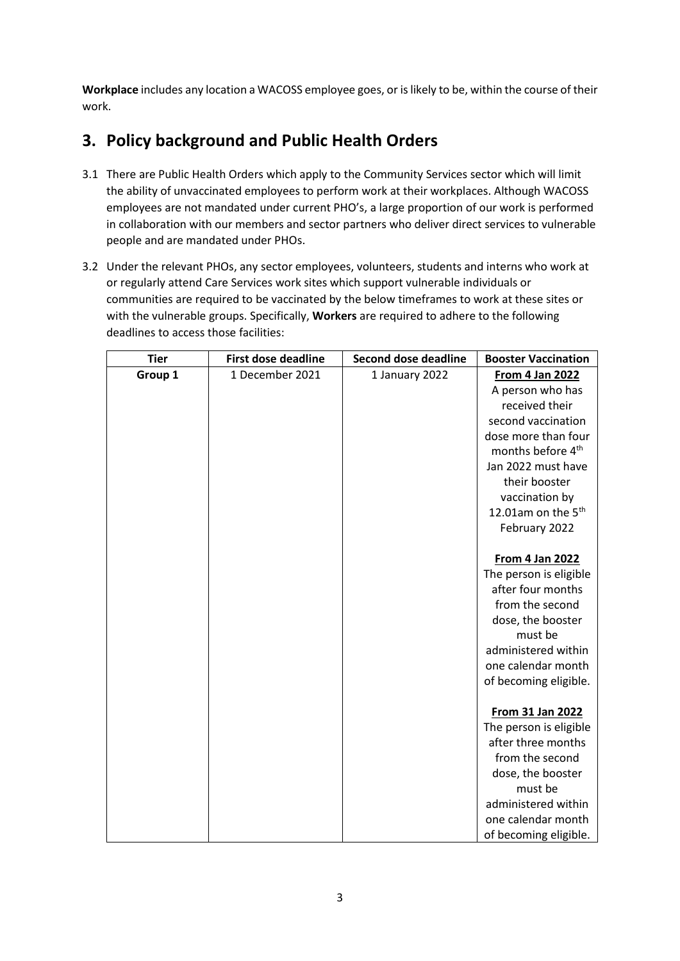**Workplace** includes any location a WACOSS employee goes, or is likely to be, within the course of their work.

### **3. Policy background and Public Health Orders**

- 3.1 There are Public Health Orders which apply to the Community Services sector which will limit the ability of unvaccinated employees to perform work at their workplaces. Although WACOSS employees are not mandated under current PHO's, a large proportion of our work is performed in collaboration with our members and sector partners who deliver direct services to vulnerable people and are mandated under PHOs.
- 3.2 Under the relevant PHOs, any sector employees, volunteers, students and interns who work at or regularly attend Care Services work sites which support vulnerable individuals or communities are required to be vaccinated by the below timeframes to work at these sites or with the vulnerable groups. Specifically, **Workers** are required to adhere to the following deadlines to access those facilities:

| <b>Tier</b> | <b>First dose deadline</b> | <b>Second dose deadline</b> | <b>Booster Vaccination</b>     |
|-------------|----------------------------|-----------------------------|--------------------------------|
| Group 1     | 1 December 2021            | 1 January 2022              | <b>From 4 Jan 2022</b>         |
|             |                            |                             | A person who has               |
|             |                            |                             | received their                 |
|             |                            |                             | second vaccination             |
|             |                            |                             | dose more than four            |
|             |                            |                             | months before 4 <sup>th</sup>  |
|             |                            |                             | Jan 2022 must have             |
|             |                            |                             | their booster                  |
|             |                            |                             | vaccination by                 |
|             |                            |                             | 12.01am on the 5 <sup>th</sup> |
|             |                            |                             | February 2022                  |
|             |                            |                             |                                |
|             |                            |                             | <b>From 4 Jan 2022</b>         |
|             |                            |                             | The person is eligible         |
|             |                            |                             | after four months              |
|             |                            |                             | from the second                |
|             |                            |                             | dose, the booster              |
|             |                            |                             | must be                        |
|             |                            |                             | administered within            |
|             |                            |                             | one calendar month             |
|             |                            |                             | of becoming eligible.          |
|             |                            |                             | From 31 Jan 2022               |
|             |                            |                             | The person is eligible         |
|             |                            |                             | after three months             |
|             |                            |                             | from the second                |
|             |                            |                             | dose, the booster              |
|             |                            |                             | must be                        |
|             |                            |                             | administered within            |
|             |                            |                             | one calendar month             |
|             |                            |                             | of becoming eligible.          |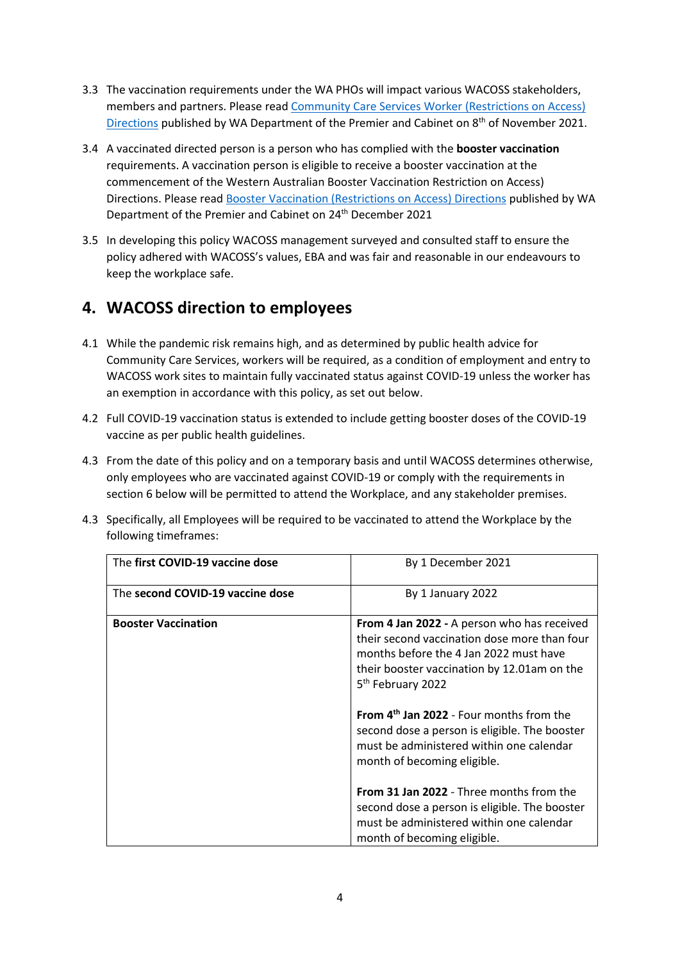- 3.3 The vaccination requirements under the WA PHOs will impact various WACOSS stakeholders, members and partners. Please read [Community Care Services Worker \(Restrictions on Access\)](https://www.wa.gov.au/government/publications/community-care-services-worker-restrictions-access-directions) [Directions](https://www.wa.gov.au/government/publications/community-care-services-worker-restrictions-access-directions) published by WA Department of the Premier and Cabinet on 8<sup>th</sup> of November 2021.
- 3.4 A vaccinated directed person is a person who has complied with the **booster vaccination** requirements. A vaccination person is eligible to receive a booster vaccination at the commencement of the Western Australian Booster Vaccination Restriction on Access) Directions. Please read [Booster Vaccination \(Restrictions on Access\) Directions]((https:/www.wa.gov.au/government/publications/booster-vaccination-restrictions-access-directions) published by WA Department of the Premier and Cabinet on 24<sup>th</sup> December 2021
- 3.5 In developing this policy WACOSS management surveyed and consulted staff to ensure the policy adhered with WACOSS's values, EBA and was fair and reasonable in our endeavours to keep the workplace safe.

#### **4. WACOSS direction to employees**

- 4.1 While the pandemic risk remains high, and as determined by public health advice for Community Care Services, workers will be required, as a condition of employment and entry to WACOSS work sites to maintain fully vaccinated status against COVID-19 unless the worker has an exemption in accordance with this policy, as set out below.
- 4.2 Full COVID-19 vaccination status is extended to include getting booster doses of the COVID-19 vaccine as per public health guidelines.
- 4.3 From the date of this policy and on a temporary basis and until WACOSS determines otherwise, only employees who are vaccinated against COVID-19 or comply with the requirements in section 6 below will be permitted to attend the Workplace, and any stakeholder premises.
- 4.3 Specifically, all Employees will be required to be vaccinated to attend the Workplace by the following timeframes:

| The first COVID-19 vaccine dose  | By 1 December 2021                                   |  |
|----------------------------------|------------------------------------------------------|--|
|                                  |                                                      |  |
| The second COVID-19 vaccine dose | By 1 January 2022                                    |  |
|                                  |                                                      |  |
| <b>Booster Vaccination</b>       | From 4 Jan 2022 - A person who has received          |  |
|                                  | their second vaccination dose more than four         |  |
|                                  | months before the 4 Jan 2022 must have               |  |
|                                  | their booster vaccination by 12.01am on the          |  |
|                                  |                                                      |  |
|                                  | 5 <sup>th</sup> February 2022                        |  |
|                                  |                                                      |  |
|                                  | From 4 <sup>th</sup> Jan 2022 - Four months from the |  |
|                                  | second dose a person is eligible. The booster        |  |
|                                  | must be administered within one calendar             |  |
|                                  | month of becoming eligible.                          |  |
|                                  |                                                      |  |
|                                  | <b>From 31 Jan 2022 - Three months from the</b>      |  |
|                                  | second dose a person is eligible. The booster        |  |
|                                  |                                                      |  |
|                                  | must be administered within one calendar             |  |
|                                  | month of becoming eligible.                          |  |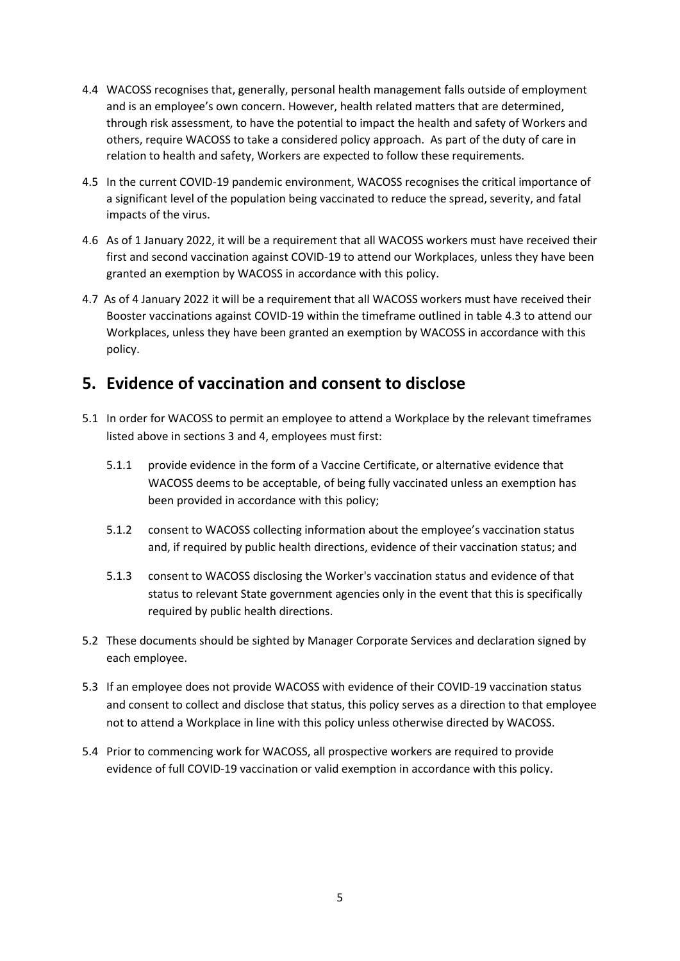- 4.4 WACOSS recognises that, generally, personal health management falls outside of employment and is an employee's own concern. However, health related matters that are determined, through risk assessment, to have the potential to impact the health and safety of Workers and others, require WACOSS to take a considered policy approach. As part of the duty of care in relation to health and safety, Workers are expected to follow these requirements.
- 4.5 In the current COVID-19 pandemic environment, WACOSS recognises the critical importance of a significant level of the population being vaccinated to reduce the spread, severity, and fatal impacts of the virus.
- 4.6 As of 1 January 2022, it will be a requirement that all WACOSS workers must have received their first and second vaccination against COVID-19 to attend our Workplaces, unless they have been granted an exemption by WACOSS in accordance with this policy.
- 4.7 As of 4 January 2022 it will be a requirement that all WACOSS workers must have received their Booster vaccinations against COVID-19 within the timeframe outlined in table 4.3 to attend our Workplaces, unless they have been granted an exemption by WACOSS in accordance with this policy.

#### **5. Evidence of vaccination and consent to disclose**

- 5.1 In order for WACOSS to permit an employee to attend a Workplace by the relevant timeframes listed above in sections 3 and 4, employees must first:
	- 5.1.1 provide evidence in the form of a Vaccine Certificate, or alternative evidence that WACOSS deems to be acceptable, of being fully vaccinated unless an exemption has been provided in accordance with this policy;
	- 5.1.2 consent to WACOSS collecting information about the employee's vaccination status and, if required by public health directions, evidence of their vaccination status; and
	- 5.1.3 consent to WACOSS disclosing the Worker's vaccination status and evidence of that status to relevant State government agencies only in the event that this is specifically required by public health directions.
- 5.2 These documents should be sighted by Manager Corporate Services and declaration signed by each employee.
- 5.3 If an employee does not provide WACOSS with evidence of their COVID-19 vaccination status and consent to collect and disclose that status, this policy serves as a direction to that employee not to attend a Workplace in line with this policy unless otherwise directed by WACOSS.
- 5.4 Prior to commencing work for WACOSS, all prospective workers are required to provide evidence of full COVID-19 vaccination or valid exemption in accordance with this policy.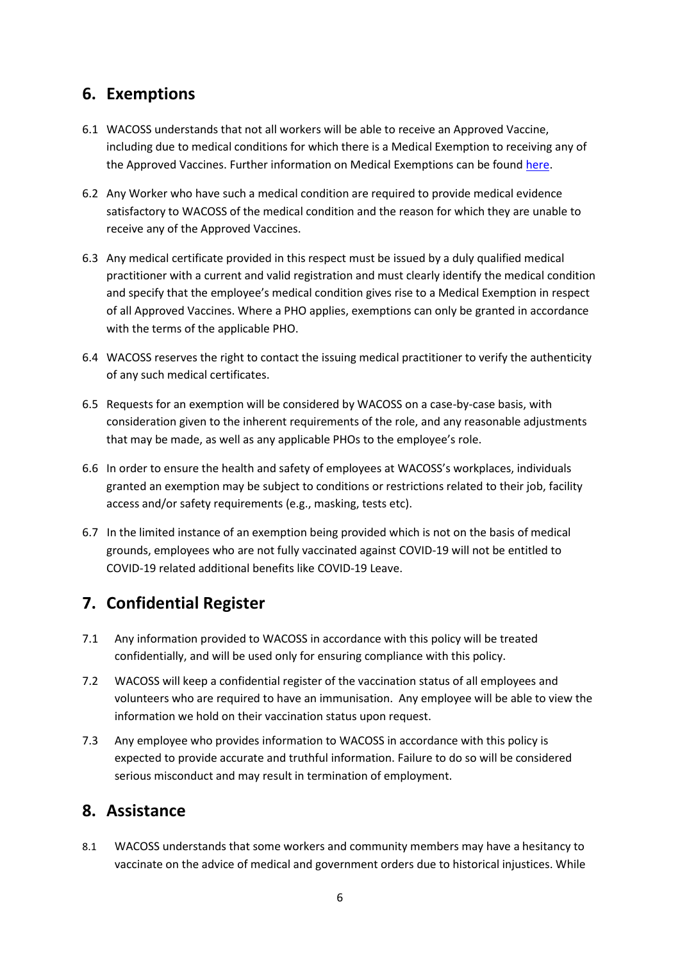#### **6. Exemptions**

- 6.1 WACOSS understands that not all workers will be able to receive an Approved Vaccine, including due to medical conditions for which there is a Medical Exemption to receiving any of the Approved Vaccines. Further information on Medical Exemptions can be foun[d here.](https://www.servicesaustralia.gov.au/individuals/services/medicare/australian-immunisation-register/what-register/immunisation-medical-exemptions)
- 6.2 Any Worker who have such a medical condition are required to provide medical evidence satisfactory to WACOSS of the medical condition and the reason for which they are unable to receive any of the Approved Vaccines.
- 6.3 Any medical certificate provided in this respect must be issued by a duly qualified medical practitioner with a current and valid registration and must clearly identify the medical condition and specify that the employee's medical condition gives rise to a Medical Exemption in respect of all Approved Vaccines. Where a PHO applies, exemptions can only be granted in accordance with the terms of the applicable PHO.
- 6.4 WACOSS reserves the right to contact the issuing medical practitioner to verify the authenticity of any such medical certificates.
- 6.5 Requests for an exemption will be considered by WACOSS on a case-by-case basis, with consideration given to the inherent requirements of the role, and any reasonable adjustments that may be made, as well as any applicable PHOs to the employee's role.
- 6.6 In order to ensure the health and safety of employees at WACOSS's workplaces, individuals granted an exemption may be subject to conditions or restrictions related to their job, facility access and/or safety requirements (e.g., masking, tests etc).
- 6.7 In the limited instance of an exemption being provided which is not on the basis of medical grounds, employees who are not fully vaccinated against COVID-19 will not be entitled to COVID-19 related additional benefits like COVID-19 Leave.

#### **7. Confidential Register**

- 7.1 Any information provided to WACOSS in accordance with this policy will be treated confidentially, and will be used only for ensuring compliance with this policy.
- 7.2 WACOSS will keep a confidential register of the vaccination status of all employees and volunteers who are required to have an immunisation. Any employee will be able to view the information we hold on their vaccination status upon request.
- 7.3 Any employee who provides information to WACOSS in accordance with this policy is expected to provide accurate and truthful information. Failure to do so will be considered serious misconduct and may result in termination of employment.

#### **8. Assistance**

8.1 WACOSS understands that some workers and community members may have a hesitancy to vaccinate on the advice of medical and government orders due to historical injustices. While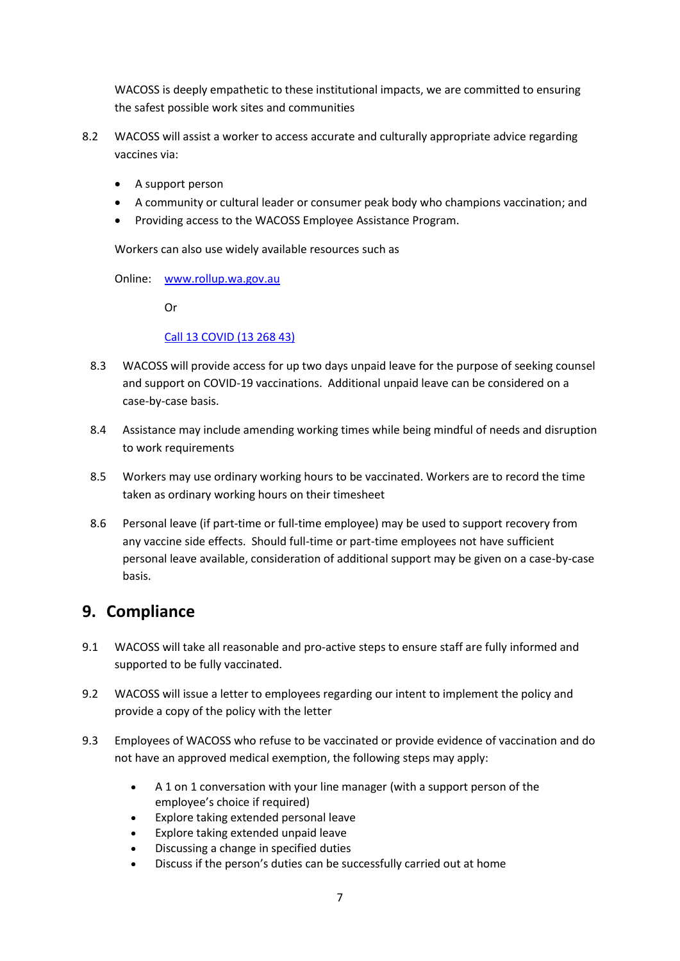WACOSS is deeply empathetic to these institutional impacts, we are committed to ensuring the safest possible work sites and communities

- 8.2 WACOSS will assist a worker to access accurate and culturally appropriate advice regarding vaccines via:
	- A support person
	- A community or cultural leader or consumer peak body who champions vaccination; and
	- Providing access to the WACOSS Employee Assistance Program.

Workers can also use widely available resources such as

Online: [www.rollup.wa.gov.au](http://www.rollup.wa.gov.au/)

Or

#### Call 13 COVID (13 268 43)

- 8.3 WACOSS will provide access for up two days unpaid leave for the purpose of seeking counsel and support on COVID-19 vaccinations. Additional unpaid leave can be considered on a case-by-case basis.
- 8.4 Assistance may include amending working times while being mindful of needs and disruption to work requirements
- 8.5 Workers may use ordinary working hours to be vaccinated. Workers are to record the time taken as ordinary working hours on their timesheet
- 8.6 Personal leave (if part-time or full-time employee) may be used to support recovery from any vaccine side effects. Should full-time or part-time employees not have sufficient personal leave available, consideration of additional support may be given on a case-by-case basis.

#### **9. Compliance**

- 9.1 WACOSS will take all reasonable and pro-active steps to ensure staff are fully informed and supported to be fully vaccinated.
- 9.2 WACOSS will issue a letter to employees regarding our intent to implement the policy and provide a copy of the policy with the letter
- 9.3 Employees of WACOSS who refuse to be vaccinated or provide evidence of vaccination and do not have an approved medical exemption, the following steps may apply:
	- A 1 on 1 conversation with your line manager (with a support person of the employee's choice if required)
	- Explore taking extended personal leave
	- Explore taking extended unpaid leave
	- Discussing a change in specified duties
	- Discuss if the person's duties can be successfully carried out at home